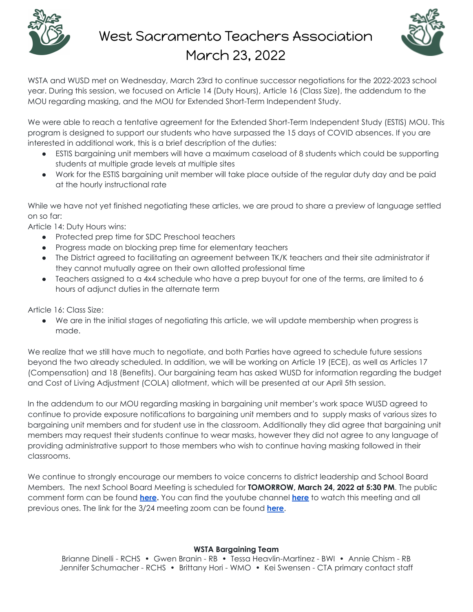

## West Sacramento Teachers Association March 23, 2022



WSTA and WUSD met on Wednesday, March 23rd to continue successor negotiations for the 2022-2023 school year. During this session, we focused on Article 14 (Duty Hours), Article 16 (Class Size), the addendum to the MOU regarding masking, and the MOU for Extended Short-Term Independent Study.

We were able to reach a tentative agreement for the Extended Short-Term Independent Study (ESTIS) MOU. This program is designed to support our students who have surpassed the 15 days of COVID absences. If you are interested in additional work, this is a brief description of the duties:

- ESTIS bargaining unit members will have a maximum caseload of 8 students which could be supporting students at multiple grade levels at multiple sites
- Work for the ESTIS bargaining unit member will take place outside of the regular duty day and be paid at the hourly instructional rate

While we have not yet finished negotiating these articles, we are proud to share a preview of language settled on so far:

Article 14: Duty Hours wins:

- Protected prep time for SDC Preschool teachers
- Progress made on blocking prep time for elementary teachers
- The District agreed to facilitating an agreement between TK/K teachers and their site administrator if they cannot mutually agree on their own allotted professional time
- Teachers assigned to a 4x4 schedule who have a prep buyout for one of the terms, are limited to 6 hours of adjunct duties in the alternate term

Article 16: Class Size:

● We are in the initial stages of negotiating this article, we will update membership when progress is made.

We realize that we still have much to negotiate, and both Parties have agreed to schedule future sessions beyond the two already scheduled. In addition, we will be working on Article 19 (ECE), as well as Articles 17 (Compensation) and 18 (Benefits). Our bargaining team has asked WUSD for information regarding the budget and Cost of Living Adjustment (COLA) allotment, which will be presented at our April 5th session.

In the addendum to our MOU regarding masking in bargaining unit member's work space WUSD agreed to continue to provide exposure notifications to bargaining unit members and to supply masks of various sizes to bargaining unit members and for student use in the classroom. Additionally they did agree that bargaining unit members may request their students continue to wear masks, however they did not agree to any language of providing administrative support to those members who wish to continue having masking followed in their classrooms.

We continue to strongly encourage our members to voice concerns to district leadership and School Board Members. The next School Board Meeting is scheduled for **TOMORROW, March 24, 2022 at 5:30 PM**. The public comment form can be found **[here](http://bit.ly/WUSDPublicCommentForm).** You can find the youtube channel **[here](https://www.youtube.com/channel/UCpNGAhD7DZDwQ2QDbUhAsSg)** to watch this meeting and all previous ones. The link for the 3/24 meeting zoom can be found **[here](https://bit.ly/3KTANSL)**.

## **WSTA Bargaining Team**

Brianne Dinelli - RCHS • Gwen Branin - RB • Tessa Heavlin-Martinez - BWI • Annie Chism - RB Jennifer Schumacher - RCHS • Brittany Hori - WMO • Kei Swensen - CTA primary contact staff